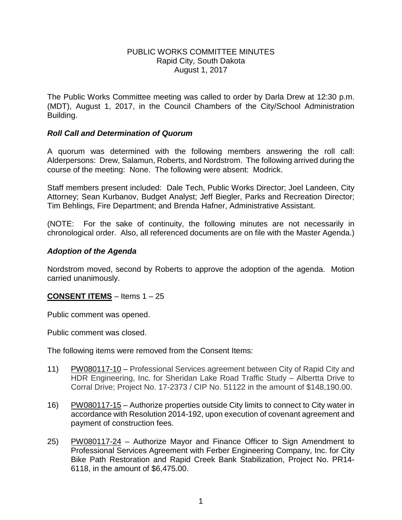### PUBLIC WORKS COMMITTEE MINUTES Rapid City, South Dakota August 1, 2017

The Public Works Committee meeting was called to order by Darla Drew at 12:30 p.m. (MDT), August 1, 2017, in the Council Chambers of the City/School Administration Building.

## *Roll Call and Determination of Quorum*

A quorum was determined with the following members answering the roll call: Alderpersons: Drew, Salamun, Roberts, and Nordstrom. The following arrived during the course of the meeting: None. The following were absent: Modrick.

Staff members present included: Dale Tech, Public Works Director; Joel Landeen, City Attorney; Sean Kurbanov, Budget Analyst; Jeff Biegler, Parks and Recreation Director; Tim Behlings, Fire Department; and Brenda Hafner, Administrative Assistant.

(NOTE: For the sake of continuity, the following minutes are not necessarily in chronological order. Also, all referenced documents are on file with the Master Agenda.)

### *Adoption of the Agenda*

Nordstrom moved, second by Roberts to approve the adoption of the agenda. Motion carried unanimously.

## **CONSENT ITEMS** – Items 1 – 25

Public comment was opened.

Public comment was closed.

The following items were removed from the Consent Items:

- 11) PW080117-10 Professional Services agreement between City of Rapid City and HDR Engineering, Inc. for Sheridan Lake Road Traffic Study – Albertta Drive to Corral Drive; Project No. 17-2373 / CIP No. 51122 in the amount of \$148,190.00.
- 16) PW080117-15 Authorize properties outside City limits to connect to City water in accordance with Resolution 2014-192, upon execution of covenant agreement and payment of construction fees.
- 25) PW080117-24 Authorize Mayor and Finance Officer to Sign Amendment to Professional Services Agreement with Ferber Engineering Company, Inc. for City Bike Path Restoration and Rapid Creek Bank Stabilization, Project No. PR14- 6118, in the amount of \$6,475.00.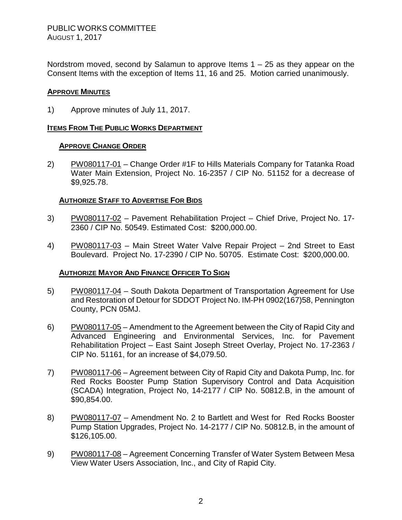Nordstrom moved, second by Salamun to approve Items  $1 - 25$  as they appear on the Consent Items with the exception of Items 11, 16 and 25. Motion carried unanimously.

### **APPROVE MINUTES**

1) Approve minutes of July 11, 2017.

### **ITEMS FROM THE PUBLIC WORKS DEPARTMENT**

#### **APPROVE CHANGE ORDER**

2) PW080117-01 – Change Order #1F to Hills Materials Company for Tatanka Road Water Main Extension, Project No. 16-2357 / CIP No. 51152 for a decrease of \$9,925.78.

### **AUTHORIZE STAFF TO ADVERTISE FOR BIDS**

- 3) PW080117-02 Pavement Rehabilitation Project Chief Drive, Project No. 17- 2360 / CIP No. 50549. Estimated Cost: \$200,000.00.
- 4) PW080117-03 Main Street Water Valve Repair Project 2nd Street to East Boulevard. Project No. 17-2390 / CIP No. 50705. Estimate Cost: \$200,000.00.

#### **AUTHORIZE MAYOR AND FINANCE OFFICER TO SIGN**

- 5) PW080117-04 South Dakota Department of Transportation Agreement for Use and Restoration of Detour for SDDOT Project No. IM-PH 0902(167)58, Pennington County, PCN 05MJ.
- 6) PW080117-05 Amendment to the Agreement between the City of Rapid City and Advanced Engineering and Environmental Services, Inc. for Pavement Rehabilitation Project – East Saint Joseph Street Overlay, Project No. 17-2363 / CIP No. 51161, for an increase of \$4,079.50.
- 7) PW080117-06 Agreement between City of Rapid City and Dakota Pump, Inc. for Red Rocks Booster Pump Station Supervisory Control and Data Acquisition (SCADA) Integration, Project No, 14-2177 / CIP No. 50812.B, in the amount of \$90,854.00.
- 8) PW080117-07 Amendment No. 2 to Bartlett and West for Red Rocks Booster Pump Station Upgrades, Project No. 14-2177 / CIP No. 50812.B, in the amount of \$126,105.00.
- 9) PW080117-08 Agreement Concerning Transfer of Water System Between Mesa View Water Users Association, Inc., and City of Rapid City.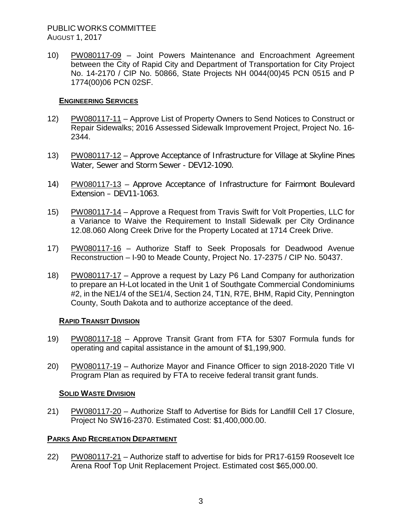# PUBLIC WORKS COMMITTEE AUGUST 1, 2017

10) PW080117-09 – Joint Powers Maintenance and Encroachment Agreement between the City of Rapid City and Department of Transportation for City Project No. 14-2170 / CIP No. 50866, State Projects NH 0044(00)45 PCN 0515 and P 1774(00)06 PCN 02SF.

### **ENGINEERING SERVICES**

- 12) PW080117-11 Approve List of Property Owners to Send Notices to Construct or Repair Sidewalks; 2016 Assessed Sidewalk Improvement Project, Project No. 16- 2344.
- 13) PW080117-12 Approve Acceptance of Infrastructure for Village at Skyline Pines Water, Sewer and Storm Sewer - DEV12-1090.
- 14) PW080117-13 Approve Acceptance of Infrastructure for Fairmont Boulevard Extension – DEV11-1063.
- 15) PW080117-14 Approve a Request from Travis Swift for Volt Properties, LLC for a Variance to Waive the Requirement to Install Sidewalk per City Ordinance 12.08.060 Along Creek Drive for the Property Located at 1714 Creek Drive.
- 17) PW080117-16 Authorize Staff to Seek Proposals for Deadwood Avenue Reconstruction – I-90 to Meade County, Project No. 17-2375 / CIP No. 50437.
- 18) PW080117-17 Approve a request by Lazy P6 Land Company for authorization to prepare an H-Lot located in the Unit 1 of Southgate Commercial Condominiums #2, in the NE1/4 of the SE1/4, Section 24, T1N, R7E, BHM, Rapid City, Pennington County, South Dakota and to authorize acceptance of the deed.

#### **RAPID TRANSIT DIVISION**

- 19) PW080117-18 Approve Transit Grant from FTA for 5307 Formula funds for operating and capital assistance in the amount of \$1,199,900.
- 20) PW080117-19 Authorize Mayor and Finance Officer to sign 2018-2020 Title VI Program Plan as required by FTA to receive federal transit grant funds.

## **SOLID WASTE DIVISION**

21) PW080117-20 - Authorize Staff to Advertise for Bids for Landfill Cell 17 Closure, Project No SW16-2370. Estimated Cost: \$1,400,000.00.

## **PARKS AND RECREATION DEPARTMENT**

22) PW080117-21 – Authorize staff to advertise for bids for PR17-6159 Roosevelt Ice Arena Roof Top Unit Replacement Project. Estimated cost \$65,000.00.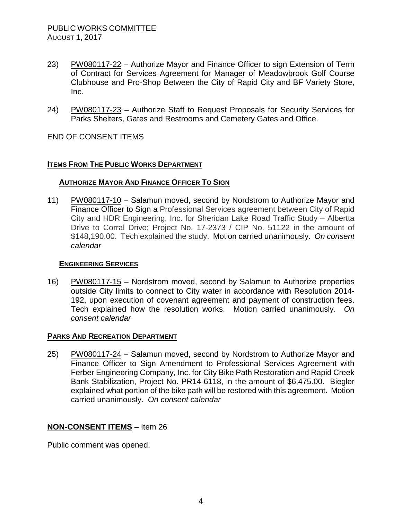- 23) PW080117-22 Authorize Mayor and Finance Officer to sign Extension of Term of Contract for Services Agreement for Manager of Meadowbrook Golf Course Clubhouse and Pro-Shop Between the City of Rapid City and BF Variety Store, Inc.
- 24) PW080117-23 Authorize Staff to Request Proposals for Security Services for Parks Shelters, Gates and Restrooms and Cemetery Gates and Office.

END OF CONSENT ITEMS

### **ITEMS FROM THE PUBLIC WORKS DEPARTMENT**

#### **AUTHORIZE MAYOR AND FINANCE OFFICER TO SIGN**

11) PW080117-10 – Salamun moved, second by Nordstrom to Authorize Mayor and Finance Officer to Sign a Professional Services agreement between City of Rapid City and HDR Engineering, Inc. for Sheridan Lake Road Traffic Study – Albertta Drive to Corral Drive; Project No. 17-2373 / CIP No. 51122 in the amount of \$148,190.00. Tech explained the study. Motion carried unanimously. *On consent calendar*

#### **ENGINEERING SERVICES**

16) PW080117-15 – Nordstrom moved, second by Salamun to Authorize properties outside City limits to connect to City water in accordance with Resolution 2014- 192, upon execution of covenant agreement and payment of construction fees. Tech explained how the resolution works. Motion carried unanimously. *On consent calendar*

#### **PARKS AND RECREATION DEPARTMENT**

25) PW080117-24 – Salamun moved, second by Nordstrom to Authorize Mayor and Finance Officer to Sign Amendment to Professional Services Agreement with Ferber Engineering Company, Inc. for City Bike Path Restoration and Rapid Creek Bank Stabilization, Project No. PR14-6118, in the amount of \$6,475.00. Biegler explained what portion of the bike path will be restored with this agreement. Motion carried unanimously. *On consent calendar*

## **NON-CONSENT ITEMS** – Item 26

Public comment was opened.